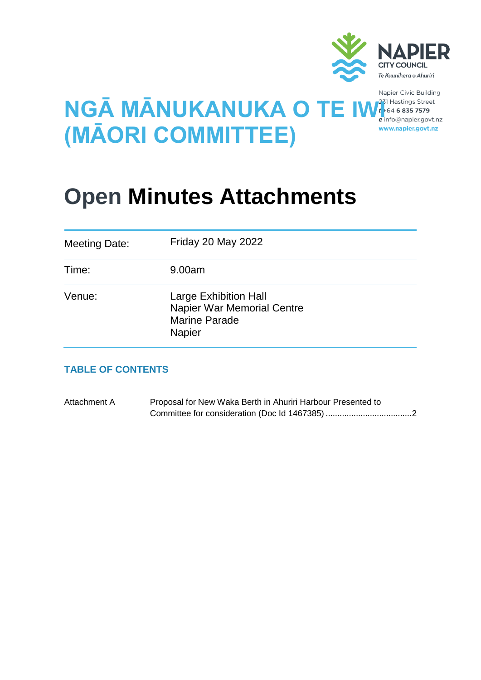

Napier Civic Building www.napier.govt.nz

# **NGĀ MĀNUKANUKA O TE IW (MĀORI COMMITTEE)**

## **Open Minutes Attachments**

| <b>Meeting Date:</b> | <b>Friday 20 May 2022</b>                                                                           |
|----------------------|-----------------------------------------------------------------------------------------------------|
| Time:                | 9.00am                                                                                              |
| Venue:               | <b>Large Exhibition Hall</b><br>Napier War Memorial Centre<br><b>Marine Parade</b><br><b>Napier</b> |

### **TABLE OF CONTENTS**

Attachment A Proposal for New Waka Berth in Ahuriri Harbour Presented to Committee for consideration (Doc Id 1467385) ....................................[.2](#page-1-0)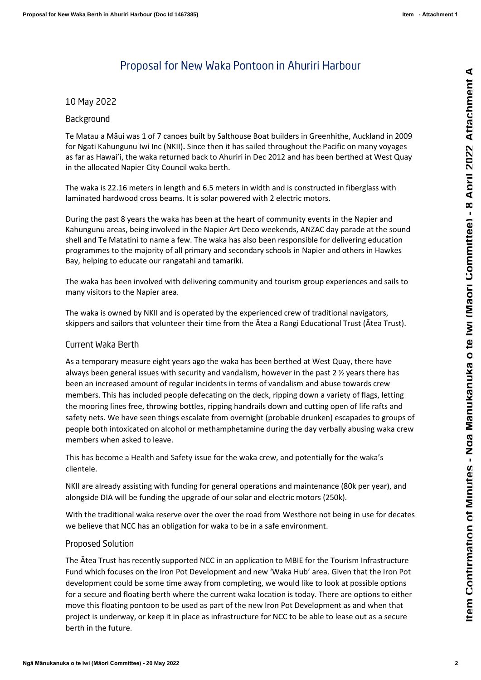## Proposal for New Waka Pontoon in Ahuriri Harbour

#### <span id="page-1-0"></span>10 May 2022

#### Background

Te Matau a Māui was 1 of 7 canoes built by Salthouse Boat builders in Greenhithe, Auckland in 2009 for Ngati Kahungunu Iwi Inc (NKII) **.** Since then it has sailed throughout the Pacific on many voyages as far as Hawai'i, the waka returned back to Ahuriri in Dec 2012 and has been berthed at West Quay in the allocated Napier City Council waka berth.

The waka is 22.16 meters in length and 6.5 meters in width and is constructed in fiberglass with laminated hardwood cross beams. It is solar powered with 2 electric motors.

During the past 8 years the waka has been at the heart of community events in the Napier and Kahungunu areas, being involved in the Napier Art Deco weekends, ANZAC day parade at the sound shell and Te Matatini to name a few. The waka has also been responsible for delivering education programmes to the majority of all primary and secondary schools in Napier and others in Hawkes Bay, helping to educate our rangatahi and tamariki.

The waka has been involved with delivering community and tourism group experiences and sails to many visitors to the Napier area.

The waka is owned by NKII and is operated by the experienced crew of traditional navigators, skippers and sailors that volunteer their time from the Ātea a Rangi Educational Trust (Ātea Trust) .

#### Current Waka Berth

As a temporary measure eight years ago the waka has been berthed at West Quay, there have always been general issues with security and vandalism, however in the past 2  $\frac{1}{2}$  years there has been an increased amount of regular incidents in terms of vandalism and abuse towards crew members. This has included people defecating on the deck, ripping down a variety of flags, letting the mooring lines free, throwing bottles, ripping handrails down and cutting open of life rafts and safety nets. We have seen things escalate from overnight (probable drunken) escapades to groups of people both intoxicated on alcohol or methamphetamine during the day verbally abusing waka crew member s when asked to leave.

This has become a Health and Safety issue for the waka crew, and potentially for the waka's clientele.

NKII are already assisting with funding for general operations and maintenance (80k per year), and alongside DIA will be funding the upgrade of our solar and electric motors (250k).

With the traditional waka reserve over the over the road from Westhore not being in use for decates we believe that NCC has an obligation for waka to be in a safe environment .

#### **Proposed Solution**

The Ātea Trust has recently supported NCC in an application to MBIE for the Tourism Infrastructure Fund which focuses on the Iron Pot Development and new 'Waka Hub' area. Given that the Iron Pot development could be some time away from completing, we would like to look at possible options for a secure and floating berth where the current waka location is today. There are options to either move this floating pontoon to be used as part of the new Iron Pot Development as and when that project is underway, or keep it in place as infrastructure for NCC to be able to lease out as a secure berth in the future.